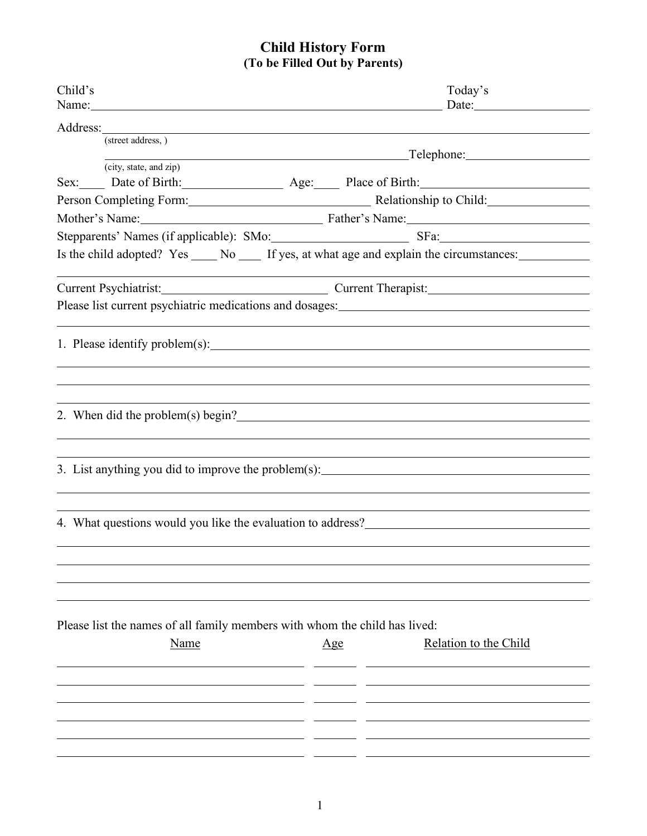## **Child History Form (To be Filled Out by Parents)**

| Child's<br>Name: Name and the second contract of the second contract of the second contract of the second contract of the second contract of the second contract of the second contract of the second contract of the second contract of | Today's                                                                                                                                                                                                                               |  |  |  |  |
|------------------------------------------------------------------------------------------------------------------------------------------------------------------------------------------------------------------------------------------|---------------------------------------------------------------------------------------------------------------------------------------------------------------------------------------------------------------------------------------|--|--|--|--|
|                                                                                                                                                                                                                                          |                                                                                                                                                                                                                                       |  |  |  |  |
| (street address, )                                                                                                                                                                                                                       |                                                                                                                                                                                                                                       |  |  |  |  |
| (city, state, and zip)                                                                                                                                                                                                                   |                                                                                                                                                                                                                                       |  |  |  |  |
|                                                                                                                                                                                                                                          | Sex: Date of Birth: Age: Place of Birth:                                                                                                                                                                                              |  |  |  |  |
|                                                                                                                                                                                                                                          | Person Completing Form: Relationship to Child:                                                                                                                                                                                        |  |  |  |  |
|                                                                                                                                                                                                                                          | Mother's Name: Father's Name: Father's Name:                                                                                                                                                                                          |  |  |  |  |
|                                                                                                                                                                                                                                          | Stepparents' Names (if applicable): SMo: SERS SERS SERS SERS                                                                                                                                                                          |  |  |  |  |
|                                                                                                                                                                                                                                          | Is the child adopted? Yes _____ No _____ If yes, at what age and explain the circumstances: ______________                                                                                                                            |  |  |  |  |
|                                                                                                                                                                                                                                          | Current Psychiatrist: Current Therapist: Current Therapist:                                                                                                                                                                           |  |  |  |  |
|                                                                                                                                                                                                                                          |                                                                                                                                                                                                                                       |  |  |  |  |
|                                                                                                                                                                                                                                          |                                                                                                                                                                                                                                       |  |  |  |  |
|                                                                                                                                                                                                                                          |                                                                                                                                                                                                                                       |  |  |  |  |
|                                                                                                                                                                                                                                          |                                                                                                                                                                                                                                       |  |  |  |  |
|                                                                                                                                                                                                                                          |                                                                                                                                                                                                                                       |  |  |  |  |
|                                                                                                                                                                                                                                          |                                                                                                                                                                                                                                       |  |  |  |  |
|                                                                                                                                                                                                                                          | 2. When did the problem(s) begin?                                                                                                                                                                                                     |  |  |  |  |
|                                                                                                                                                                                                                                          |                                                                                                                                                                                                                                       |  |  |  |  |
|                                                                                                                                                                                                                                          |                                                                                                                                                                                                                                       |  |  |  |  |
|                                                                                                                                                                                                                                          | 3. List anything you did to improve the problem(s): _____________________________                                                                                                                                                     |  |  |  |  |
|                                                                                                                                                                                                                                          |                                                                                                                                                                                                                                       |  |  |  |  |
|                                                                                                                                                                                                                                          |                                                                                                                                                                                                                                       |  |  |  |  |
|                                                                                                                                                                                                                                          | 4. What questions would you like the evaluation to address?<br><u>Letting</u> the state of the state of the state of the state of the state of the state of the state of the state of the state of the state of the state of the stat |  |  |  |  |
|                                                                                                                                                                                                                                          |                                                                                                                                                                                                                                       |  |  |  |  |
|                                                                                                                                                                                                                                          |                                                                                                                                                                                                                                       |  |  |  |  |
|                                                                                                                                                                                                                                          |                                                                                                                                                                                                                                       |  |  |  |  |
|                                                                                                                                                                                                                                          |                                                                                                                                                                                                                                       |  |  |  |  |
| Please list the names of all family members with whom the child has lived:                                                                                                                                                               |                                                                                                                                                                                                                                       |  |  |  |  |
| <b>Name</b>                                                                                                                                                                                                                              | Relation to the Child<br>Age                                                                                                                                                                                                          |  |  |  |  |
|                                                                                                                                                                                                                                          |                                                                                                                                                                                                                                       |  |  |  |  |
|                                                                                                                                                                                                                                          |                                                                                                                                                                                                                                       |  |  |  |  |
|                                                                                                                                                                                                                                          |                                                                                                                                                                                                                                       |  |  |  |  |
|                                                                                                                                                                                                                                          |                                                                                                                                                                                                                                       |  |  |  |  |
|                                                                                                                                                                                                                                          |                                                                                                                                                                                                                                       |  |  |  |  |
|                                                                                                                                                                                                                                          |                                                                                                                                                                                                                                       |  |  |  |  |
|                                                                                                                                                                                                                                          |                                                                                                                                                                                                                                       |  |  |  |  |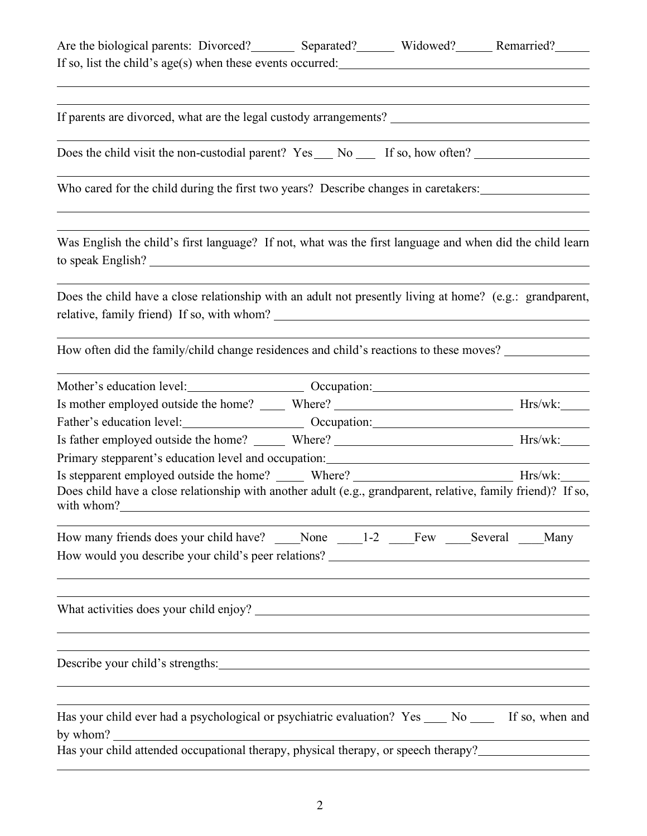| Are the biological parents: Divorced? _________ Separated? ________ Widowed? _______ Remarried? ________<br>If so, list the child's age(s) when these events occurred:                                                       |  |  |
|------------------------------------------------------------------------------------------------------------------------------------------------------------------------------------------------------------------------------|--|--|
|                                                                                                                                                                                                                              |  |  |
| Does the child visit the non-custodial parent? Yes ___ No ___ If so, how often? ____________________                                                                                                                         |  |  |
| Who cared for the child during the first two years? Describe changes in caretakers:                                                                                                                                          |  |  |
| Was English the child's first language? If not, what was the first language and when did the child learn                                                                                                                     |  |  |
| Does the child have a close relationship with an adult not presently living at home? (e.g.: grandparent,<br>relative, family friend) If so, with whom?                                                                       |  |  |
| How often did the family/child change residences and child's reactions to these moves?                                                                                                                                       |  |  |
|                                                                                                                                                                                                                              |  |  |
|                                                                                                                                                                                                                              |  |  |
|                                                                                                                                                                                                                              |  |  |
|                                                                                                                                                                                                                              |  |  |
|                                                                                                                                                                                                                              |  |  |
| Is stepparent employed outside the home? ______ Where? __________________________ Hrs/wk:_____<br>Does child have a close relationship with another adult (e.g., grandparent, relative, family friend)? If so,<br>with whom? |  |  |
| How many friends does your child have? None 1-2 Few Several Many                                                                                                                                                             |  |  |
|                                                                                                                                                                                                                              |  |  |
| Describe your child's strengths:                                                                                                                                                                                             |  |  |
| Has your child ever had a psychological or psychiatric evaluation? Yes _____ No ______ If so, when and<br>by whom?                                                                                                           |  |  |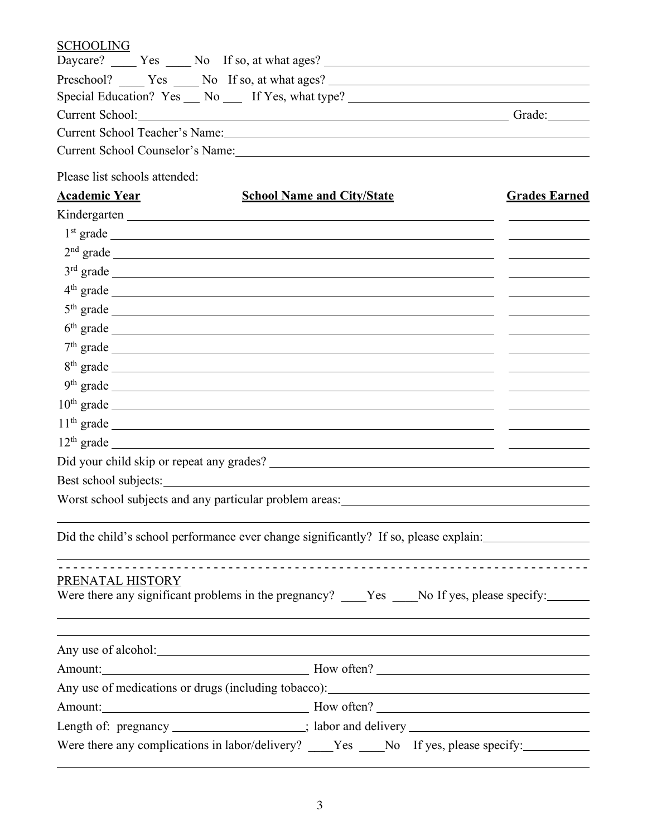| <b>SCHOOLING</b>                                                                                                                                                                                                               |                      |
|--------------------------------------------------------------------------------------------------------------------------------------------------------------------------------------------------------------------------------|----------------------|
| Daycare? ______ Yes ______ No If so, at what ages? ______________________________                                                                                                                                              |                      |
| Special Education? Yes __ No __ If Yes, what type? ______________________________                                                                                                                                              |                      |
| Current School: Grade: Grade: Grade: Grade: Grade: Grade: Grade: Grade: Grade: Grade: Grade: Grade: Grade: Grade: Grade: Grade: Grade: Grade: Grade: Grade: Grade: Grade: Grade: Grade: Grade: Grade: Grade: Grade: Grade: Gra |                      |
| Current School Teacher's Name:                                                                                                                                                                                                 |                      |
| Current School Counselor's Name: 1986                                                                                                                                                                                          |                      |
| Please list schools attended:                                                                                                                                                                                                  |                      |
| <u>Academic Year</u><br><b>School Name and City/State</b>                                                                                                                                                                      | <b>Grades Earned</b> |
|                                                                                                                                                                                                                                |                      |
|                                                                                                                                                                                                                                |                      |
|                                                                                                                                                                                                                                |                      |
|                                                                                                                                                                                                                                |                      |
|                                                                                                                                                                                                                                |                      |
| $4th$ grade                                                                                                                                                                                                                    |                      |
| $5th grade$ grade                                                                                                                                                                                                              |                      |
|                                                                                                                                                                                                                                |                      |
|                                                                                                                                                                                                                                |                      |
|                                                                                                                                                                                                                                |                      |
| $10th$ grade $\overline{\phantom{a}}$                                                                                                                                                                                          |                      |
|                                                                                                                                                                                                                                |                      |
|                                                                                                                                                                                                                                |                      |
|                                                                                                                                                                                                                                |                      |
|                                                                                                                                                                                                                                |                      |
|                                                                                                                                                                                                                                |                      |
|                                                                                                                                                                                                                                |                      |
| Did the child's school performance ever change significantly? If so, please explain:                                                                                                                                           |                      |
|                                                                                                                                                                                                                                |                      |
| PRENATAL HISTORY                                                                                                                                                                                                               |                      |
| Were there any significant problems in the pregnancy? ____Yes ____No If yes, please specify: _____                                                                                                                             |                      |
|                                                                                                                                                                                                                                |                      |
|                                                                                                                                                                                                                                |                      |
|                                                                                                                                                                                                                                |                      |
| Amount: Movement Communication and Movement Communication and Movement Communication and Movement Communication                                                                                                                |                      |
|                                                                                                                                                                                                                                |                      |
| Amount: Movement Communication and Movement Communication and Movement Communication and Movement Communication                                                                                                                |                      |
| Length of: pregnancy _______________; labor and delivery _______________________                                                                                                                                               |                      |
| Were there any complications in labor/delivery? ____Yes ___No If yes, please specify: _____________                                                                                                                            |                      |